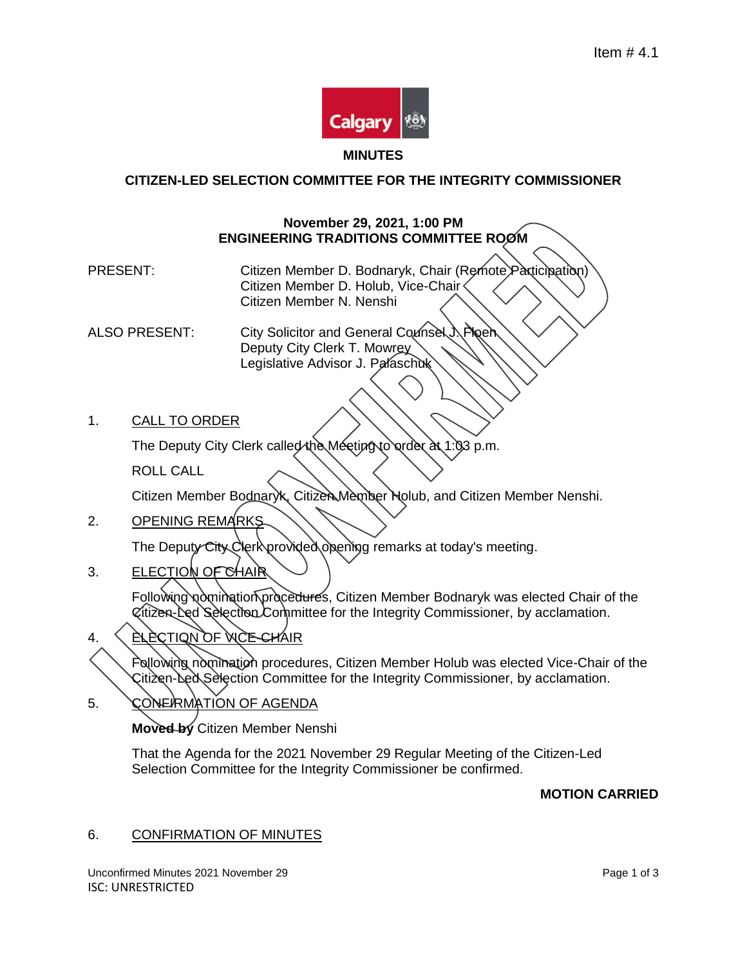

# **CITIZEN-LED SELECTION COMMITTEE FOR THE INTEGRITY COMMISSIONER**

### **November 29, 2021, 1:00 PM ENGINEERING TRADITIONS COMMITTEE ROOM**

PRESENT: Citizen Member D. Bodnaryk, Chair (Remote Participation) Citizen Member D. Holub, Vice-Chair Citizen Member N. Nenshi

ALSO PRESENT: City Solicitor and General Counsel J. Ploen Deputy City Clerk T. Mowrey Legislative Advisor J. Palaschuk

1. CALL TO ORDER

The Deputy City Clerk called the Meeting to order at 1:03 p.m.

ROLL CALL

Citizen Member Bodnaryk, Citizen Member Holub, and Citizen Member Nenshi.

2. OPENING REMARKS

The Deputy City Clerk provided opening remarks at today's meeting.

3. ELECTION OF CHAIR

Following nomination procedures, Citizen Member Bodnaryk was elected Chair of the Citizen-Led Selection Committee for the Integrity Commissioner, by acclamation.

4. ELECTION OF VICE-CHAIR

Following nomination procedures, Citizen Member Holub was elected Vice-Chair of the Citizen-Led Selection Committee for the Integrity Commissioner, by acclamation.

5. CONERMATION OF AGENDA

**Moved by** Citizen Member Nenshi

That the Agenda for the 2021 November 29 Regular Meeting of the Citizen-Led Selection Committee for the Integrity Commissioner be confirmed.

## **MOTION CARRIED**

## 6. CONFIRMATION OF MINUTES

Unconfirmed Minutes 2021 November 29 **Page 1 of 3** Page 1 of 3 ISC: UNRESTRICTED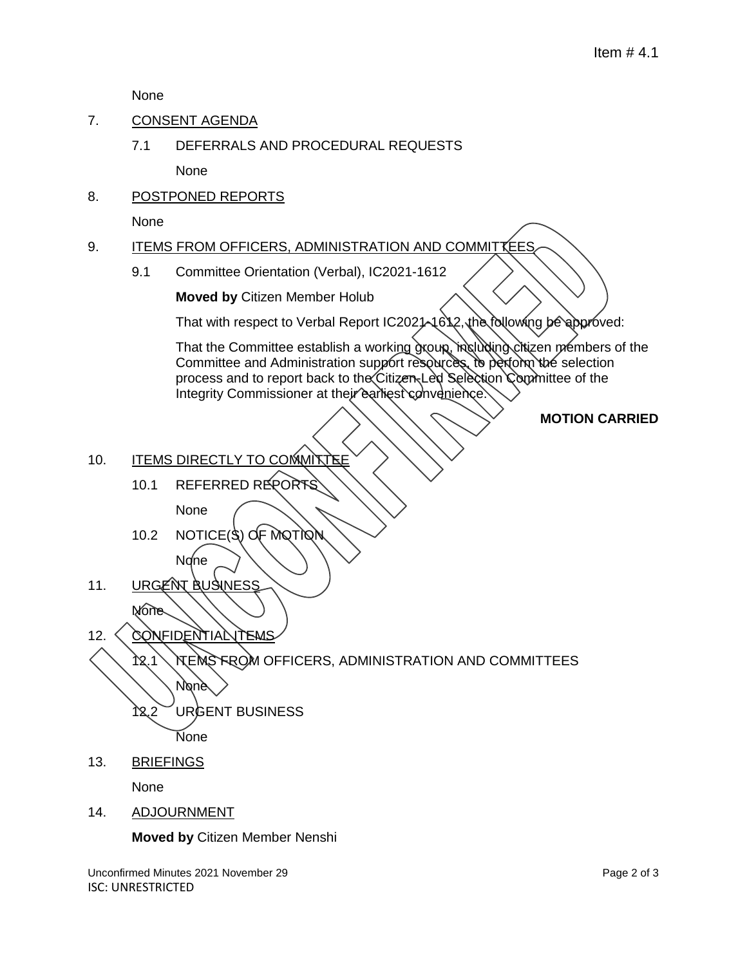None

- 7. CONSENT AGENDA
	- 7.1 DEFERRALS AND PROCEDURAL REQUESTS

None

8. POSTPONED REPORTS

None

- 9. ITEMS FROM OFFICERS, ADMINISTRATION AND COMMITTEES
	- 9.1 Committee Orientation (Verbal), IC2021-1612

**Moved by** Citizen Member Holub

That with respect to Verbal Report IC2021-1612, the following be approved:

That the Committee establish a working group, mει αλίτης citizen members of the Committee and Administration support resources, to pertorm the selection process and to report back to the Citizen-Led Selection Committee of the Integrity Commissioner at their earliest convenience.

### **MOTION CARRIED**

- 10. ITEMS DIRECTLY TO COMMITTE
	- 10.1 REFERRED REPORT

None

- 10.2 NOTICE(S) OF MOTION None
- 11. URGENT BUSINESS
- None 12. CONFIDENTIAL TEMS

12.1 ITEMS FROM OFFICERS, ADMINISTRATION AND COMMITTEES **N**one 12.2 URGENT BUSINESS

None

13. BRIEFINGS

None

14. ADJOURNMENT

**Moved by** Citizen Member Nenshi